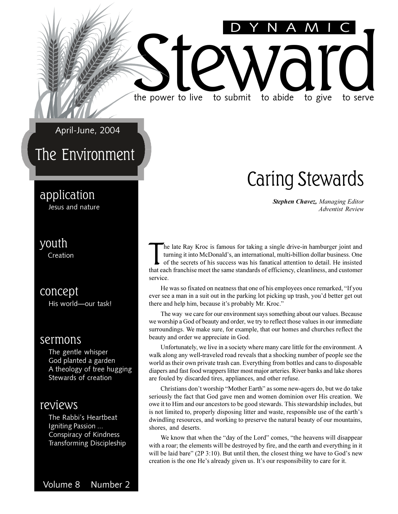April-June, 2004

#### The Environment

#### application

Jesus and nature

#### youth

Creation

concept His world-our task!

#### sermons

The gentle whisper God planted a garden A theology of tree hugging Stewards of creation

#### reviews

The Rabbi's Heartbeat Igniting Passion ... Conspiracy of Kindness Transforming Discipleship

### Caring Stewards

*Stephen Chavez, Managing Editor Adventist Review*

The late Ray Kroc is famous for taking a single drive-in hamburger joint and turning it into McDonald's, an international, multi-billion dollar business. One of the secrets of his success was his fanatical attention to det he late Ray Kroc is famous for taking a single drive-in hamburger joint and turning it into McDonald's, an international, multi-billion dollar business. One of the secrets of his success was his fanatical attention to detail. He insisted service.

the power to live to submit to abide to give to serve

the power to live to submit to abide to give to serve

DYNAMIC

He was so fixated on neatness that one of his employees once remarked, "If you ever see a man in a suit out in the parking lot picking up trash, you'd better get out there and help him, because it's probably Mr. Kroc."

The way we care for our environment says something about our values. Because we worship a God of beauty and order, we try to reflect those values in our immediate surroundings. We make sure, for example, that our homes and churches reflect the beauty and order we appreciate in God.

Unfortunately, we live in a society where many care little for the environment. A walk along any well-traveled road reveals that a shocking number of people see the world as their own private trash can. Everything from bottles and cans to disposable diapers and fast food wrappers litter most major arteries. River banks and lake shores are fouled by discarded tires, appliances, and other refuse.

Christians don't worship "Mother Earth" as some new-agers do, but we do take seriously the fact that God gave men and women dominion over His creation. We owe it to Him and our ancestors to be good stewards. This stewardship includes, but is not limited to, properly disposing litter and waste, responsible use of the earth's dwindling resources, and working to preserve the natural beauty of our mountains, shores, and deserts.

We know that when the "day of the Lord" comes, "the heavens will disappear with a roar; the elements will be destroyed by fire, and the earth and everything in it will be laid bare" ( $2P \cdot 3:10$ ). But until then, the closest thing we have to God's new creation is the one He's already given us. It's our responsibility to care for it.

Volume 8 Number 2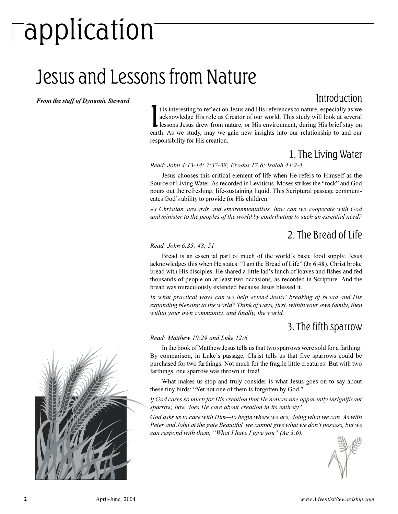# $\overline{\phantom{\alpha}}$ application

### Jesus and Lessons from Nature

*From the staff of Dynamic Steward*

#### Introduction

It is interesting to reflect on Jesus and His references to nature, especially as we<br>acknowledge His role as Creator of our world. This study will look at several<br>lessons Jesus drew from nature, or His environment, during t is interesting to reflect on Jesus and His references to nature, especially as we acknowledge His role as Creator of our world. This study will look at several earth. As we study, may we gain new insights into our relationship to and our responsibility for His creation.

#### 1. The Living Water

*Read: John 4:13-14; 7:37-38; Exodus 17:6; Isaiah 44:2-4*

Jesus chooses this critical element of life when He refers to Himself as the Source of Living Water. As recorded in Leviticus, Moses strikes the "rock" and God pours out the refreshing, life-sustaining liquid. This Scriptural passage communicates God's ability to provide for His children.

*As Christian stewards and environmentalists, how can we cooperate with God and minister to the peoples of the world by contributing to such an essential need?*

#### 2. The Bread of Life

#### *Read: John 6:35; 48; 51*

Bread is an essential part of much of the world's basic food supply. Jesus acknowledges this when He states: "I am the Bread of Life" (Jn 6:48). Christ broke bread with His disciples. He shared a little lad's lunch of loaves and fishes and fed thousands of people on at least two occasions, as recorded in Scripture. And the bread was miraculously extended because Jesus blessed it.

*In what practical ways can we help extend Jesus breaking of bread and His expanding blessing to the world? Think of ways, first, within your own family, then within your own community, and finally, the world.*

#### 3. The fifth sparrow

#### *Read: Matthew 10:29 and Luke 12:6*

In the book of Matthew Jesus tells us that two sparrows were sold for a farthing. By comparison, in Luke's passage, Christ tells us that five sparrows could be purchased for two farthings. Not much for the fragile little creatures! But with two farthings, one sparrow was thrown in free!

What makes us stop and truly consider is what Jesus goes on to say about these tiny birds: "Yet not one of them is forgotten by God."

*If God cares so much for His creation that He notices one apparently insignificant sparrow, how does He care about creation in its entirety?*

*God asks us to care with Him-to begin where we are, doing what we can. As with* Peter and John at the gate Beautiful, we cannot give what we don't possess, but we *can respond with them, "What I have I give you" (Ac 3:6).* 



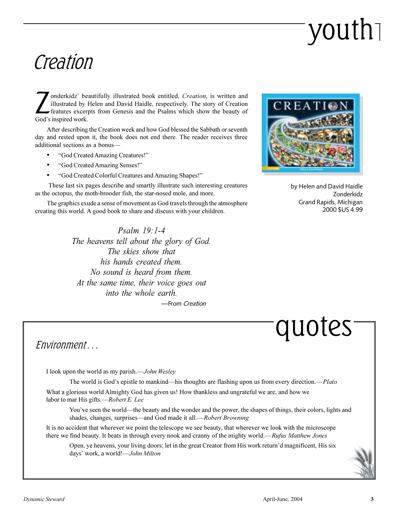# youth

### Creation

Inderkidz' be<br>
illustrated by<br>
features excer<br>
God's inspired work. onderkidz' beautifully illustrated book entitled, *Creation*, is written and illustrated by Helen and David Haidle, respectively. The story of Creation features excerpts from Genesis and the Psalms which show the beauty of

After describing the Creation week and how God blessed the Sabbath or seventh day and rested upon it, the book does not end there. The reader receives three additional sections as a bonus

- God Created Amazing Creatures!
- God Created Amazing Senses!
- God Created Colorful Creatures and Amazing Shapes!

 These last six pages describe and smartly illustrate such interesting creatures as the octopus, the moth-brooder fish, the star-nosed mole, and more.

The graphics exude a sense of movement as God travels through the atmosphere creating this world. A good book to share and discuss with your children.

> *Psalm 19:1-4 The heavens tell about the glory of God. The skies show that his hands created them. No sound is heard from them. At the same time, their voice goes out into the whole earth.* -From Creation



by Helen and David Haidle Zonderkidz Grand Rapids, Michigan 2000 \$US 4.99

quotes

#### Environment ...

I look upon the world as my parish.*John Wesley*

The world is God's epistle to mankind—his thoughts are flashing upon us from every direction.—*Plato* What a glorious world Almighty God has given us! How thankless and ungrateful we are, and how we

labor to mar His gifts.-Robert E. Lee

You've seen the world—the beauty and the wonder and the power, the shapes of things, their colors, lights and shades, changes, surprises—and God made it all.—*Robert Browning* 

It is no accident that wherever we point the telescope we see beauty, that wherever we look with the microscope there we find beauty. It beats in through every nook and cranny of the mighty world.—Rufus Matthew Jones

Open, ye heavens, your living doors; let in the great Creator from His work return'd magnificent, His six days work, a world!*John Milton*

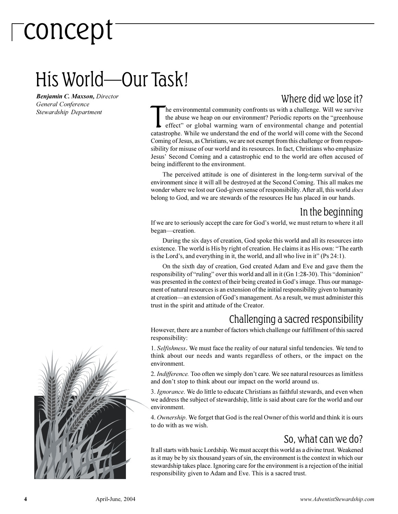## concept

### His World—Our Task!

*Benjamin C. Maxson, Director General Conference Stewardship Department*

#### Where did we lose it?

The environmental community confronts us with a challenge. Will we survive the abuse we heap on our environment? Periodic reports on the "greenhouse effect" or global warming warn of environmental change and potential cata he environmental community confronts us with a challenge. Will we survive the abuse we heap on our environment? Periodic reports on the "greenhouse effect" or global warming warn of environmental change and potential Coming of Jesus, as Christians, we are not exempt from this challenge or from responsibility for misuse of our world and its resources. In fact, Christians who emphasize Jesus' Second Coming and a catastrophic end to the world are often accused of being indifferent to the environment.

The perceived attitude is one of disinterest in the long-term survival of the environment since it will all be destroyed at the Second Coming. This all makes me wonder where we lost our God-given sense of responsibility. After all, this world *does* belong to God, and we are stewards of the resources He has placed in our hands.

#### In the beginning

If we are to seriously accept the care for God's world, we must return to where it all began—creation.

During the six days of creation, God spoke this world and all its resources into existence. The world is His by right of creation. He claims it as His own: The earth is the Lord's, and everything in it, the world, and all who live in it" (Ps  $24:1$ ).

On the sixth day of creation, God created Adam and Eve and gave them the responsibility of "ruling" over this world and all in it (Gn 1:28-30). This "dominion" was presented in the context of their being created in God's image. Thus our management of natural resources is an extension of the initial responsibility given to humanity at creation—an extension of God's management. As a result, we must administer this trust in the spirit and attitude of the Creator.

#### Challenging a sacred responsibility

However, there are a number of factors which challenge our fulfillment of this sacred responsibility:

1. *Selfishness*. We must face the reality of our natural sinful tendencies. We tend to think about our needs and wants regardless of others, or the impact on the environment.

2. *Indifference*. Too often we simply don't care. We see natural resources as limitless and don't stop to think about our impact on the world around us.

3. *Ignorance*. We do little to educate Christians as faithful stewards, and even when we address the subject of stewardship, little is said about care for the world and our environment.

4. *Ownership*. We forget that God is the real Owner of this world and think it is ours to do with as we wish.

#### So, what can we do?

It all starts with basic Lordship. We must accept this world as a divine trust. Weakened as it may be by six thousand years of sin, the environment is the context in which our stewardship takes place. Ignoring care for the environment is a rejection of the initial responsibility given to Adam and Eve. This is a sacred trust.

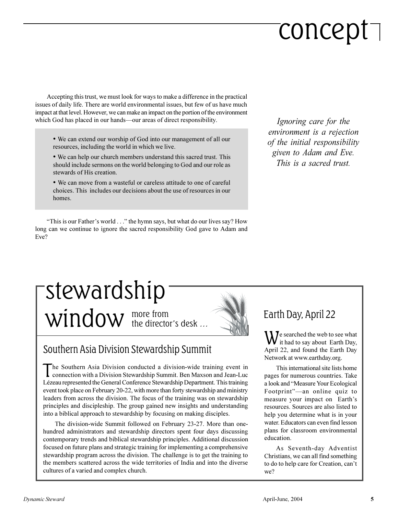# concept

Accepting this trust, we must look for ways to make a difference in the practical issues of daily life. There are world environmental issues, but few of us have much impact at that level. However, we can make an impact on the portion of the environment which God has placed in our hands—our areas of direct responsibility.

- We can extend our worship of God into our management of all our resources, including the world in which we live.
- We can help our church members understand this sacred trust. This should include sermons on the world belonging to God and our role as stewards of His creation.
- We can move from a wasteful or careless attitude to one of careful choices. This includes our decisions about the use of resources in our homes.

"This is our Father's world . . ." the hymn says, but what do our lives say? How long can we continue to ignore the sacred responsibility God gave to Adam and Eve?

*Ignoring care for the environment is a rejection of the initial responsibility given to Adam and Eve. This is a sacred trust.*

#### more from  $window$  the director's desk  $...$ stewardship

#### Southern Asia Division Stewardship Summit

The Southern Asia Division conducted a division-wide training event in connection with a Division Stewardship Summit. Ben Maxson and Jean-Luc connection with a Division Stewardship Summit. Ben Maxson and Jean-Luc Lézeau represented the General Conference Stewardship Department. This training event took place on February 20-22, with more than forty stewardship and ministry leaders from across the division. The focus of the training was on stewardship principles and discipleship. The group gained new insights and understanding into a biblical approach to stewardship by focusing on making disciples.

The division-wide Summit followed on February 23-27. More than onehundred administrators and stewardship directors spent four days discussing contemporary trends and biblical stewardship principles. Additional discussion focused on future plans and strategic training for implementing a comprehensive stewardship program across the division. The challenge is to get the training to the members scattered across the wide territories of India and into the diverse cultures of a varied and complex church.

#### Earth Day, April 22

We searched the web to see what<br>it had to say about Earth Day, it had to say about Earth Day, April 22, and found the Earth Day Network at www.earthday.org.

This international site lists home pages for numerous countries. Take a look and "Measure Your Ecological" Footprint"-an online quiz to measure your impact on Earth's resources. Sources are also listed to help you determine what is in your water. Educators can even find lesson plans for classroom environmental education.

As Seventh-day Adventist Christians, we can all find something to do to help care for Creation, can't we?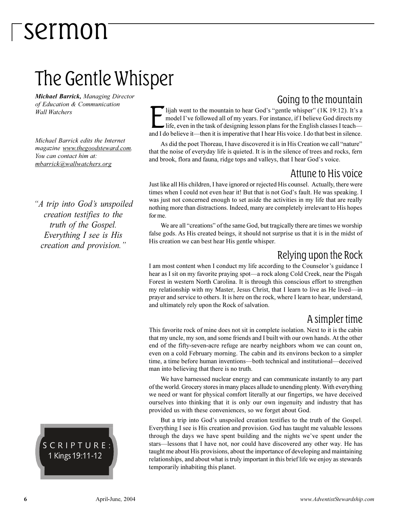### The Gentle Whisper

*Michael Barrick, Managing Director of Education & Communication Wall Watchers*

*Michael Barrick edits the Internet magazine www.thegoodsteward.com. You can contact him at: mbarrick@wallwatchers.org*

*A trip into Gods unspoiled creation testifies to the truth of the Gospel. Everything I see is His creation and provision.*

SCRIPTURE: 1 Kings 19:11-12

Going to the mountain lijah went to the mountain to hear God's "gentle whisper" (1K 19:12). It's a

I lijah went to the mountain to hear God's "gentle whisper" (1K 19:12). It's a model I've followed all of my years. For instance, if I believe God directs my life, even in the task of designing lesson plans for the English model I've followed all of my years. For instance, if I believe God directs my life, even in the task of designing lesson plans for the English classes I teach-

As did the poet Thoreau, I have discovered it is in His Creation we call "nature" that the noise of everyday life is quieted. It is in the silence of trees and rocks, fern and brook, flora and fauna, ridge tops and valleys, that I hear God's voice.

#### Attune to His voice

Just like all His children, I have ignored or rejected His counsel. Actually, there were times when I could not even hear it! But that is not God's fault. He was speaking. I was just not concerned enough to set aside the activities in my life that are really nothing more than distractions. Indeed, many are completely irrelevant to His hopes for me.

We are all "creations" of the same God, but tragically there are times we worship false gods. As His created beings, it should not surprise us that it is in the midst of His creation we can best hear His gentle whisper.

#### Relying upon the Rock

I am most content when I conduct my life according to the Counselor's guidance I hear as I sit on my favorite praying spot—a rock along Cold Creek, near the Pisgah Forest in western North Carolina. It is through this conscious effort to strengthen my relationship with my Master, Jesus Christ, that I learn to live as He lived-in prayer and service to others. It is here on the rock, where I learn to hear, understand, and ultimately rely upon the Rock of salvation.

#### A simpler time

This favorite rock of mine does not sit in complete isolation. Next to it is the cabin that my uncle, my son, and some friends and I built with our own hands. At the other end of the fifty-seven-acre refuge are nearby neighbors whom we can count on, even on a cold February morning. The cabin and its environs beckon to a simpler time, a time before human inventions—both technical and institutional—deceived man into believing that there is no truth.

We have harnessed nuclear energy and can communicate instantly to any part of the world. Grocery stores in many places allude to unending plenty. With everything we need or want for physical comfort literally at our fingertips, we have deceived ourselves into thinking that it is only our own ingenuity and industry that has provided us with these conveniences, so we forget about God.

But a trip into God's unspoiled creation testifies to the truth of the Gospel. Everything I see is His creation and provision. God has taught me valuable lessons through the days we have spent building and the nights we've spent under the stars—lessons that I have not, nor could have discovered any other way. He has taught me about His provisions, about the importance of developing and maintaining relationships, and about what is truly important in this brief life we enjoy as stewards temporarily inhabiting this planet.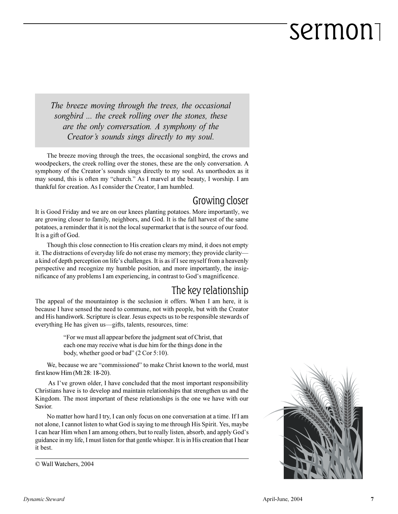*The breeze moving through the trees, the occasional songbird ... the creek rolling over the stones, these are the only conversation. A symphony of the Creator's sounds sings directly to my soul.* 

The breeze moving through the trees, the occasional songbird, the crows and woodpeckers, the creek rolling over the stones, these are the only conversation. A symphony of the Creator's sounds sings directly to my soul. As unorthodox as it may sound, this is often my "church." As I marvel at the beauty, I worship. I am thankful for creation. As I consider the Creator, I am humbled.

#### Growing closer

It is Good Friday and we are on our knees planting potatoes. More importantly, we are growing closer to family, neighbors, and God. It is the fall harvest of the same potatoes, a reminder that it is not the local supermarket that is the source of our food. It is a gift of God.

Though this close connection to His creation clears my mind, it does not empty it. The distractions of everyday life do not erase my memory; they provide clarity a kind of depth perception on life's challenges. It is as if I see myself from a heavenly perspective and recognize my humble position, and more importantly, the insignificance of any problems I am experiencing, in contrast to God's magnificence.

#### The key relationship

The appeal of the mountaintop is the seclusion it offers. When I am here, it is because I have sensed the need to commune, not with people, but with the Creator and His handiwork. Scripture is clear. Jesus expects us to be responsible stewards of everything He has given us-gifts, talents, resources, time:

> For we must all appear before the judgment seat of Christ, that each one may receive what is due him for the things done in the body, whether good or bad"  $(2 Cor 5:10)$ .

We, because we are "commissioned" to make Christ known to the world, must first know Him (Mt 28: 18-20).

As I've grown older, I have concluded that the most important responsibility Christians have is to develop and maintain relationships that strengthen us and the Kingdom. The most important of these relationships is the one we have with our Savior.

No matter how hard I try, I can only focus on one conversation at a time. If I am not alone, I cannot listen to what God is saying to me through His Spirit. Yes, maybe I can hear Him when I am among others, but to really listen, absorb, and apply God's guidance in my life, I must listen for that gentle whisper. It is in His creation that I hear it best.

© Wall Watchers, 2004

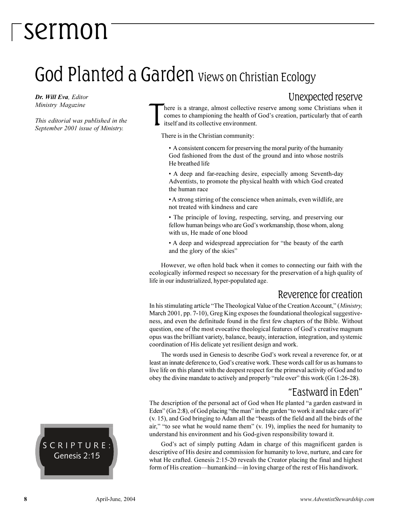### God Planted a Garden Views on Christian Ecology

*Dr. Will Eva, Editor Ministry Magazine*

*This editorial was published in the September 2001 issue of Ministry.*

Unexpected reserve

T here is a strange, almost collective reserve among some Christians when it comes to championing the health of God's creation, particularly that of earth itself and its collective environment.

There is in the Christian community:

 A consistent concern for preserving the moral purity of the humanity God fashioned from the dust of the ground and into whose nostrils He breathed life

 A deep and far-reaching desire, especially among Seventh-day Adventists, to promote the physical health with which God created the human race

 A strong stirring of the conscience when animals, even wildlife, are not treated with kindness and care

 The principle of loving, respecting, serving, and preserving our fellow human beings who are God's workmanship, those whom, along with us, He made of one blood

• A deep and widespread appreciation for "the beauty of the earth and the glory of the skies

However, we often hold back when it comes to connecting our faith with the ecologically informed respect so necessary for the preservation of a high quality of life in our industrialized, hyper-populated age.

#### Reverence for creation

In his stimulating article "The Theological Value of the Creation Account," (*Ministry*, March 2001, pp. 7-10), Greg King exposes the foundational theological suggestiveness, and even the definitude found in the first few chapters of the Bible. Without question, one of the most evocative theological features of God's creative magnum opus was the brilliant variety, balance, beauty, interaction, integration, and systemic coordination of His delicate yet resilient design and work.

The words used in Genesis to describe God's work reveal a reverence for, or at least an innate deference to, God's creative work. These words call for us as humans to live life on this planet with the deepest respect for the primeval activity of God and to obey the divine mandate to actively and properly "rule over" this work (Gn 1:26-28).

#### Eastward in Eden

The description of the personal act of God when He planted "a garden eastward in Eden" (Gn 2:8), of God placing "the man" in the garden "to work it and take care of it"  $(v. 15)$ , and God bringing to Adam all the "beasts of the field and all the birds of the air," "to see what he would name them"  $(v. 19)$ , implies the need for humanity to understand his environment and his God-given responsibility toward it.

God's act of simply putting Adam in charge of this magnificent garden is descriptive of His desire and commission for humanity to love, nurture, and care for what He crafted. Genesis 2:15-20 reveals the Creator placing the final and highest form of His creation—humankind—in loving charge of the rest of His handiwork.

SCRIPTURE: Genesis 2:15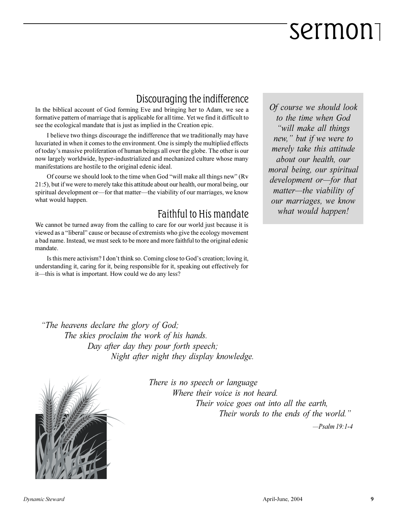#### Discouraging the indifference

In the biblical account of God forming Eve and bringing her to Adam, we see a formative pattern of marriage that is applicable for all time. Yet we find it difficult to see the ecological mandate that is just as implied in the Creation epic.

I believe two things discourage the indifference that we traditionally may have luxuriated in when it comes to the environment. One is simply the multiplied effects of today's massive proliferation of human beings all over the globe. The other is our now largely worldwide, hyper-industrialized and mechanized culture whose many manifestations are hostile to the original edenic ideal.

Of course we should look to the time when God "will make all things new" (Rv 21:5), but if we were to merely take this attitude about our health, our moral being, our spiritual development or—for that matter—the viability of our marriages, we know what would happen.

#### Faithful to His mandate

We cannot be turned away from the calling to care for our world just because it is viewed as a "liberal" cause or because of extremists who give the ecology movement a bad name. Instead, we must seek to be more and more faithful to the original edenic mandate.

Is this mere activism? I don't think so. Coming close to God's creation; loving it, understanding it, caring for it, being responsible for it, speaking out effectively for it—this is what is important. How could we do any less?

*Of course we should look to the time when God will make all things new, but if we were to merely take this attitude about our health, our moral being, our spiritual development or-for that matter—the viability of our marriages, we know what would happen!*

*The heavens declare the glory of God; The skies proclaim the work of his hands. Day after day they pour forth speech; Night after night they display knowledge.*



*There is no speech or language Where their voice is not heard. Their voice goes out into all the earth, Their words to the ends of the world.*

 *Psalm 19:1-4*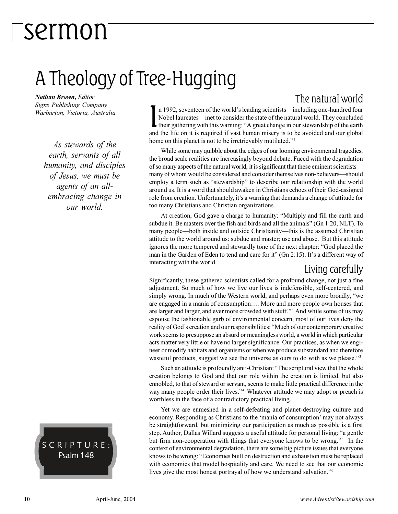### A Theology of Tree-Hugging

*Nathan Brown, Editor Signs Publishing Company Warburton, Victoria, Australia*

*As stewards of the earth, servants of all humanity, and disciples of Jesus, we must be agents of an allembracing change in our world.*

#### SCRIPTURE: Psalm 148

The natural world In 1992, seventeen of the world's leading scientists—including one-hundred four<br>Nobel laureates—met to consider the state of the natural world. They concluded<br>their gathering with this warning: "A great change in our stewa n 1992, seventeen of the world's leading scientists—including one-hundred four Nobel laureates—met to consider the state of the natural world. They concluded and the life on it is required if vast human misery is to be avoided and our global home on this planet is not to be irretrievably mutilated."<sup>1</sup>

While some may quibble about the edges of our looming environmental tragedies, the broad scale realities are increasingly beyond debate. Faced with the degradation of so many aspects of the natural world, it is significant that these eminent scientists many of whom would be considered and consider themselves non-believers—should employ a term such as "stewardship" to describe our relationship with the world around us. It is a word that should awaken in Christians echoes of their God-assigned role from creation. Unfortunately, it's a warning that demands a change of attitude for too many Christians and Christian organizations.

At creation, God gave a charge to humanity: "Multiply and fill the earth and subdue it. Be masters over the fish and birds and all the animals" (Gn 1:20, NLT). To many people—both inside and outside Christianity—this is the assumed Christian attitude to the world around us: subdue and master; use and abuse. But this attitude ignores the more tempered and stewardly tone of the next chapter: "God placed the man in the Garden of Eden to tend and care for it" (Gn 2:15). It's a different way of interacting with the world.

#### Living carefully

Significantly, these gathered scientists called for a profound change, not just a fine adjustment. So much of how we live our lives is indefensible, self-centered, and simply wrong. In much of the Western world, and perhaps even more broadly, "we are engaged in a mania of consumption.... More and more people own houses that are larger and larger, and ever more crowded with stuff.<sup>22</sup> And while some of us may espouse the fashionable garb of environmental concern, most of our lives deny the reality of God's creation and our responsibilities: "Much of our contemporary creative work seems to presuppose an absurd or meaningless world, a world in which particular acts matter very little or have no larger significance. Our practices, as when we engineer or modify habitats and organisms or when we produce substandard and therefore wasteful products, suggest we see the universe as ours to do with as we please.<sup>33</sup>

Such an attitude is profoundly anti-Christian: "The scriptural view that the whole creation belongs to God and that our role within the creation is limited, but also ennobled, to that of steward or servant, seems to make little practical difference in the way many people order their lives."<sup>4</sup> Whatever attitude we may adopt or preach is worthless in the face of a contradictory practical living.

Yet we are enmeshed in a self-defeating and planet-destroying culture and economy. Responding as Christians to the 'mania of consumption' may not always be straightforward, but minimizing our participation as much as possible is a first step. Author, Dallas Willard suggests a useful attitude for personal living: "a gentle but firm non-cooperation with things that everyone knows to be wrong."<sup>5</sup> In the context of environmental degradation, there are some big picture issues that everyone knows to be wrong: "Economies built on destruction and exhaustion must be replaced with economies that model hospitality and care. We need to see that our economic lives give the most honest portrayal of how we understand salvation."<sup>6</sup>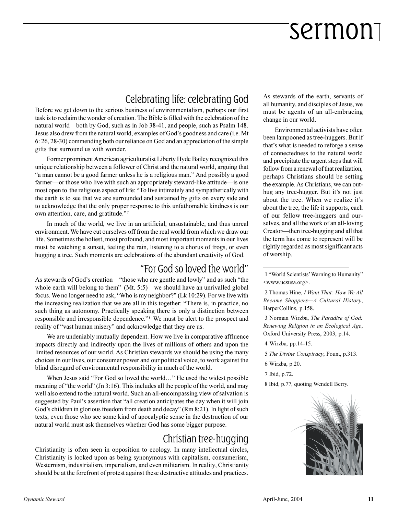#### Celebrating life: celebrating God

Before we get down to the serious business of environmentalism, perhaps our first task is to reclaim the wonder of creation. The Bible is filled with the celebration of the natural world—both by God, such as in Job 38-41, and people, such as Psalm 148. Jesus also drew from the natural world, examples of God's goodness and care (i.e. Mt 6: 26, 28-30) commending both our reliance on God and an appreciation of the simple gifts that surround us with wonder.

Former prominent American agriculturalist Liberty Hyde Bailey recognized this unique relationship between a follower of Christ and the natural world, arguing that "a man cannot be a good farmer unless he is a religious man." And possibly a good farmer—or those who live with such an appropriately steward-like attitude—is one most open to the religious aspect of life: To live intimately and sympathetically with the earth is to see that we are surrounded and sustained by gifts on every side and to acknowledge that the only proper response to this unfathomable kindness is our own attention, care, and gratitude."7

In much of the world, we live in an artificial, unsustainable, and thus unreal environment. We have cut ourselves off from the real world from which we draw our life. Sometimes the holiest, most profound, and most important moments in our lives must be watching a sunset, feeling the rain, listening to a chorus of frogs, or even hugging a tree. Such moments are celebrations of the abundant creativity of God.

#### For God so loved the world

As stewards of God's creation—"those who are gentle and lowly" and as such "the whole earth will belong to them" (Mt.  $5:5$ )—we should have an unrivalled global focus. We no longer need to ask, "Who is my neighbor?" (Lk 10:29). For we live with the increasing realization that we are all in this together: There is, in practice, no such thing as autonomy. Practically speaking there is only a distinction between responsible and irresponsible dependence."<sup>8</sup> We must be alert to the prospect and reality of "vast human misery" and acknowledge that they are us.

We are undeniably mutually dependent. How we live in comparative affluence impacts directly and indirectly upon the lives of millions of others and upon the limited resources of our world. As Christian stewards we should be using the many choices in our lives, our consumer power and our political voice, to work against the blind disregard of environmental responsibility in much of the world.

When Jesus said "For God so loved the world..." He used the widest possible meaning of "the world" (Jn 3:16). This includes all the people of the world, and may well also extend to the natural world. Such an all-encompassing view of salvation is suggested by Paul's assertion that "all creation anticipates the day when it will join God's children in glorious freedom from death and decay" (Rm 8:21). In light of such texts, even those who see some kind of apocalyptic sense in the destruction of our natural world must ask themselves whether God has some bigger purpose.

#### Christian tree-hugging

Christianity is often seen in opposition to ecology. In many intellectual circles, Christianity is looked upon as being synonymous with capitalism, consumerism, Westernism, industrialism, imperialism, and even militarism. In reality, Christianity should be at the forefront of protest against these destructive attitudes and practices.

As stewards of the earth, servants of all humanity, and disciples of Jesus, we must be agents of an all-embracing change in our world.

Environmental activists have often been lampooned as tree-huggers. But if that's what is needed to reforge a sense of connectedness to the natural world and precipitate the urgent steps that will follow from a renewal of that realization, perhaps Christians should be setting the example. As Christians, we can outhug any tree-hugger. But it's not just about the tree. When we realize it's about the tree, the life it supports, each of our fellow tree-huggers and ourselves, and all the work of an all-loving Creator—then tree-hugging and all that the term has come to represent will be rightly regarded as most significant acts of worship.

1 "World Scientists' Warning to Humanity" <www.ucsusa.org>.

2 Thomas Hine, *I Want That: How We All Became Shoppers-A Cultural History,* HarperCollins, p.158.

3 Norman Wirzba, *The Paradise of God: Renewing Religion in an Ecological Age*, Oxford University Press, 2003, p.14.

4 Wirzba, pp.14-15.

- 5 *The Divine Conspiracy*, Fount, p.313.
- 6 Wirzba, p.20.
- 7 Ibid, p.72.

8 Ibid, p.77, quoting Wendell Berry.

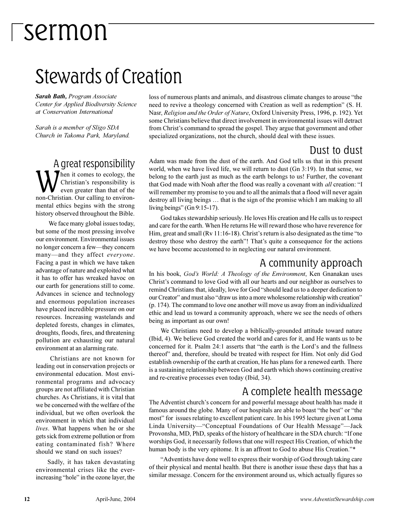### Stewards of Creation

*Sarah Bath, Program Associate Center for Applied Biodiversity Science at Conservation International*

*Sarah is a member of Sligo SDA Church in Takoma Park, Maryland.*

A great responsibility W<sub>ww</sub> Then it comes to ecology, the Christian's responsibility is even greater than that of the non-Christian. Our calling to environmental ethics begins with the strong history observed throughout the Bible.

We face many global issues today, but some of the most pressing involve our environment. Environmental issues no longer concern a few-they concern many—and they affect *everyone*. Facing a past in which we have taken advantage of nature and exploited what it has to offer has wreaked havoc on our earth for generations still to come. Advances in science and technology and enormous population increases have placed incredible pressure on our resources. Increasing wastelands and depleted forests, changes in climates, droughts, floods, fires, and threatening pollution are exhausting our natural environment at an alarming rate.

Christians are not known for leading out in conservation projects or environmental education. Most environmental programs and advocacy groups are not affiliated with Christian churches. As Christians, it is vital that we be concerned with the welfare of the individual, but we often overlook the environment in which that individual *lives*. What happens when he or she gets sick from extreme pollution or from eating contaminated fish? Where should we stand on such issues?

Sadly, it has taken devastating environmental crises like the everincreasing "hole" in the ozone layer, the loss of numerous plants and animals, and disastrous climate changes to arouse "the need to revive a theology concerned with Creation as well as redemption" (S. H. Nasr, *Religion and the Order of Nature*, Oxford University Press, 1996, p. 192). Yet some Christians believe that direct involvement in environmental issues will detract from Christ's command to spread the gospel. They argue that government and other specialized organizations, not the church, should deal with these issues.

#### Dust to dust

Adam was made from the dust of the earth. And God tells us that in this present world, when we have lived life, we will return to dust (Gn 3:19). In that sense, we belong to the earth just as much as the earth belongs to us! Further, the covenant that God made with Noah after the flood was really a covenant with *all* creation: I will remember my promise to you and to all the animals that a flood will never again destroy all living beings ... that is the sign of the promise which I am making to all living beings" (Gn  $9:15-17$ ).

God takes stewardship seriously. He loves His creation and He calls us to respect and care for the earth. When He returns He will reward those who have reverence for Him, great and small (Rv  $11:16-18$ ). Christ's return is also designated as the time "to destroy those who destroy the earth"! That's quite a consequence for the actions we have become accustomed to in neglecting our natural environment.

#### A community approach

In his book, *Gods World: A Theology of the Environment*, Ken Gnanakan uses Christ's command to love God with all our hearts and our neighbor as ourselves to remind Christians that, ideally, love for God "should lead us to a deeper dedication to our Creator" and must also "draw us into a more wholesome relationship with creation" (p. 174). The command to love one another will move us away from an individualized ethic and lead us toward a community approach, where we see the needs of others being as important as our own!

We Christians need to develop a biblically-grounded attitude toward nature (Ibid, 4). We believe God created the world and cares for it, and He wants us to be concerned for it. Psalm 24:1 asserts that "the earth is the Lord's and the fullness thereof" and, therefore, should be treated with respect for Him. Not only did God establish ownership of the earth at creation, He has plans for a renewed earth. There is a sustaining relationship between God and earth which shows continuing creative and re-creative processes even today (Ibid, 34).

#### A complete health message

The Adventist church's concern for and powerful message about health has made it famous around the globe. Many of our hospitals are able to boast "the best" or "the most" for issues relating to excellent patient care. In his 1995 lecture given at Loma Linda University—"Conceptual Foundations of Our Health Message"—Jack Provonsha, MD, PhD, speaks of the history of healthcare in the SDA church: "If one worships God, it necessarily follows that one will respect His Creation, of which the human body is the very epitome. It is an affront to God to abuse His Creation."\*

Adventists have done well to express their worship of God through taking care of their physical and mental health. But there is another issue these days that has a similar message. Concern for the environment around us, which actually figures so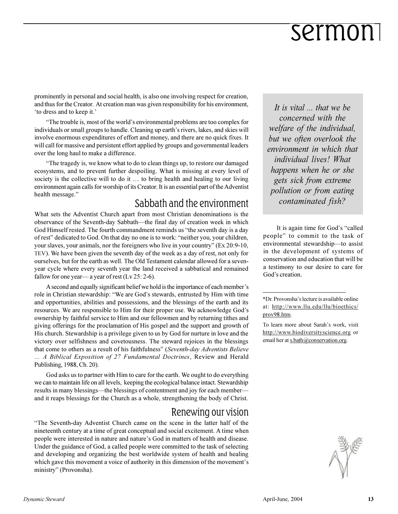prominently in personal and social health, is also one involving respect for creation, and thus for the Creator. At creation man was given responsibility for his environment, to dress and to keep it.'

"The trouble is, most of the world's environmental problems are too complex for individuals or small groups to handle. Cleaning up earth's rivers, lakes, and skies will involve enormous expenditures of effort and money, and there are no quick fixes. It will call for massive and persistent effort applied by groups and governmental leaders over the long haul to make a difference.

The tragedy is, we know what to do to clean things up, to restore our damaged ecosystems, and to prevent further despoiling. What is missing at every level of society is the collective will to do it  $\ldots$  to bring health and healing to our living environment again calls for worship of its Creator. It is an essential part of the Adventist health message.

#### Sabbath and the environment

What sets the Adventist Church apart from most Christian denominations is the observance of the Seventh-day Sabbath—the final day of creation week in which God Himself rested. The fourth commandment reminds us "the seventh day is a day of rest" dedicated to God. On that day no one is to work: "neither you, your children, your slaves, your animals, nor the foreigners who live in your country" (Ex 20:9-10, TEV). We have been given the seventh day of the week as a day of rest, not only for ourselves, but for the earth as well. The Old Testament calendar allowed for a sevenyear cycle where every seventh year the land received a sabbatical and remained fallow for one year—a year of rest  $(Lv 25: 2-6)$ .

A second and equally significant belief we hold is the importance of each member's role in Christian stewardship: "We are God's stewards, entrusted by Him with time and opportunities, abilities and possessions, and the blessings of the earth and its resources. We are responsible to Him for their proper use. We acknowledge God's ownership by faithful service to Him and our fellowmen and by returning tithes and giving offerings for the proclamation of His gospel and the support and growth of His church. Stewardship is a privilege given to us by God for nurture in love and the victory over selfishness and covetousness. The steward rejoices in the blessings that come to others as a result of his faithfulness" (*Seventh-day Adventists Believe A Biblical Exposition of 27 Fundamental Doctrines*, Review and Herald Publishing, 1988, Ch. 20).

God asks us to partner with Him to care for the earth. We ought to do everything we can to maintain life on all levels, keeping the ecological balance intact. Stewardship results in many blessings—the blessings of contentment and joy for each member and it reaps blessings for the Church as a whole, strengthening the body of Christ.

#### Renewing our vision

The Seventh-day Adventist Church came on the scene in the latter half of the nineteenth century at a time of great conceptual and social excitement. A time when people were interested in nature and nature's God in matters of health and disease. Under the guidance of God, a called people were committed to the task of selecting and developing and organizing the best worldwide system of health and healing which gave this movement a voice of authority in this dimension of the movement's ministry" (Provonsha).

*It is vital ... that we be concerned with the welfare of the individual, but we often overlook the environment in which that individual lives! What happens when he or she gets sick from extreme pollution or from eating contaminated fish?*

It is again time for God's "called people" to commit to the task of environmental stewardship-to assist in the development of systems of conservation and education that will be a testimony to our desire to care for God's creation.

To learn more about Sarah's work, visit http://www.biodiversityscience.org or email her at s.bath@conservation.org.



<sup>\*</sup>Dr. Provonsha's lecture is available online at: http://www.llu.edu/llu/bioethics/ prov98.htm.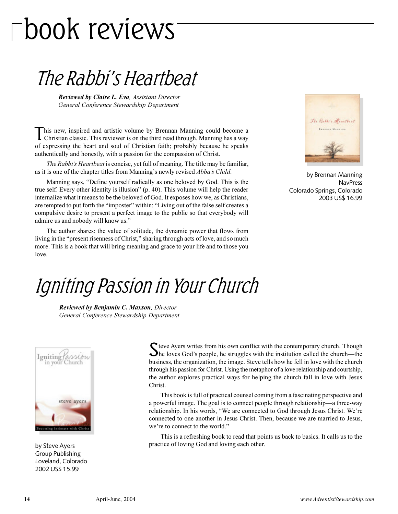# book reviews

### The Rabbi's Heartbeat

*Reviewed by Claire L. Eva, Assistant Director General Conference Stewardship Department*

This new, inspired and artistic volume by Brennan Manning could become a Christian classic. This reviewer is on the third read through. Manning has a way his new, inspired and artistic volume by Brennan Manning could become a of expressing the heart and soul of Christian faith; probably because he speaks authentically and honestly, with a passion for the compassion of Christ.

*The Rabbi's Heartbeat* is concise, yet full of meaning. The title may be familiar, as it is one of the chapter titles from Manning's newly revised *Abba's Child*.

Manning says, "Define yourself radically as one beloved by God. This is the true self. Every other identity is illusion" (p. 40). This volume will help the reader internalize what it means to be the beloved of God. It exposes how we, as Christians, are tempted to put forth the "imposter" within: "Living out of the false self creates a compulsive desire to present a perfect image to the public so that everybody will admire us and nobody will know us.

The author shares: the value of solitude, the dynamic power that flows from living in the "present risenness of Christ," sharing through acts of love, and so much more. This is a book that will bring meaning and grace to your life and to those you love.



by Brennan Manning NavPress Colorado Springs, Colorado 2003 US\$ 16.99

### Igniting Passion in Your Church

*Reviewed by Benjamin C. Maxson, Director General Conference Stewardship Department*



by Steve Ayers Group Publishing Loveland, Colorado 2002 US\$ 15.99

S teve Ayers writes from his own conflict with the contemporary church. Though the loves God's people, he struggles with the institution called the church—the he loves God's people, he struggles with the institution called the church—the business, the organization, the image. Steve tells how he fell in love with the church through his passion for Christ. Using the metaphor of a love relationship and courtship, the author explores practical ways for helping the church fall in love with Jesus Christ.

This book is full of practical counsel coming from a fascinating perspective and a powerful image. The goal is to connect people through relationship—a three-way relationship. In his words, "We are connected to God through Jesus Christ. We're connected to one another in Jesus Christ. Then, because we are married to Jesus, we're to connect to the world."

This is a refreshing book to read that points us back to basics. It calls us to the practice of loving God and loving each other.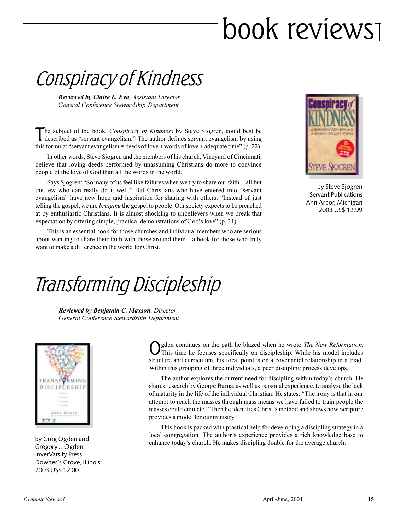# book reviews

Conspiracy of Kindness

*Reviewed by Claire L. Eva, Assistant Director General Conference Stewardship Department*

The subject of the book, *Conspiracy of Kindness* by Steve Sjogren, could best be described as "servant evangelism." The author defines servant evangelism by using he subject of the book, *Conspiracy of Kindness* by Steve Sjogren, could best be this formula: "servant evangelism = deeds of love + words of love + adequate time" (p. 22).

In other words, Steve Sjogren and the members of his church, Vineyard of Cincinnati, believe that loving deeds performed by unassuming Christians do more to convince people of the love of God than all the words in the world.

Says Sjogren: "So many of us feel like failures when we try to share our faith—all but the few who can really do it well." But Christians who have entered into "servant" evangelism" have new hope and inspiration for sharing with others. "Instead of just telling the gospel, we are *bringing* the gospel to people. Our society expects to be preached at by enthusiastic Christians. It is almost shocking to unbelievers when we break that expectation by offering simple, practical demonstrations of God's love"  $(p. 31)$ .

This is an essential book for those churches and individual members who are serious about wanting to share their faith with those around them—a book for those who truly want to make a difference in the world for Christ.



by Steve Sjogren Servant Publications Ann Arbor, Michigan 2003 US\$ 12.99

### Transforming Discipleship

*Reviewed by Benjamin C. Maxson, Director General Conference Stewardship Department*



by Greg Ogden and Gregory J. Ogden InverVarsity Press Downer's Grove, Illinois 2003 US\$ 12.00

O gden continues on the path he blazed when he wrote *The New Reformation*. This time he focuses specifically on discipleship. While his model includes structure and curriculum, his focal point is on a covenantal relationship in a triad. Within this grouping of three individuals, a peer discipling process develops.

The author explores the current need for discipling within today's church. He shares research by George Barna, as well as personal experience, to analyze the lack of maturity in the life of the individual Christian. He states: The irony is that in our attempt to reach the masses through mass means we have failed to train people the masses could emulate." Then he identifies Christ's method and shows how Scripture provides a model for our ministry.

This book is packed with practical help for developing a discipling strategy in a local congregation. The author's experience provides a rich knowledge base to enhance today's church. He makes discipling doable for the average church.